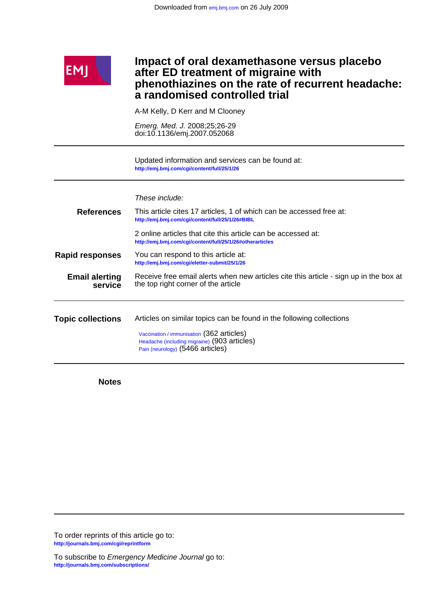

### **a randomised controlled trial phenothiazines on the rate of recurrent headache: after ED treatment of migraine with Impact of oral dexamethasone versus placebo**

A-M Kelly, D Kerr and M Clooney

doi:10.1136/emj.2007.052068 Emerg. Med. J. 2008;25;26-29

**<http://emj.bmj.com/cgi/content/full/25/1/26>** Updated information and services can be found at:

|                                  | These include:                                                                                                                |
|----------------------------------|-------------------------------------------------------------------------------------------------------------------------------|
| <b>References</b>                | This article cites 17 articles, 1 of which can be accessed free at:<br>http://emj.bmj.com/cgi/content/full/25/1/26#BIBL       |
|                                  | 2 online articles that cite this article can be accessed at:<br>http://emj.bmj.com/cgi/content/full/25/1/26#otherarticles     |
| <b>Rapid responses</b>           | You can respond to this article at:<br>http://emj.bmj.com/cgi/eletter-submit/25/1/26                                          |
| <b>Email alerting</b><br>service | Receive free email alerts when new articles cite this article - sign up in the box at<br>the top right corner of the article  |
| <b>Topic collections</b>         | Articles on similar topics can be found in the following collections                                                          |
|                                  | Vaccination / immunisation (362 articles)<br>Headache (including migraine) (903 articles)<br>Pain (neurology) (5466 articles) |

**Notes**

**<http://journals.bmj.com/cgi/reprintform>** To order reprints of this article go to: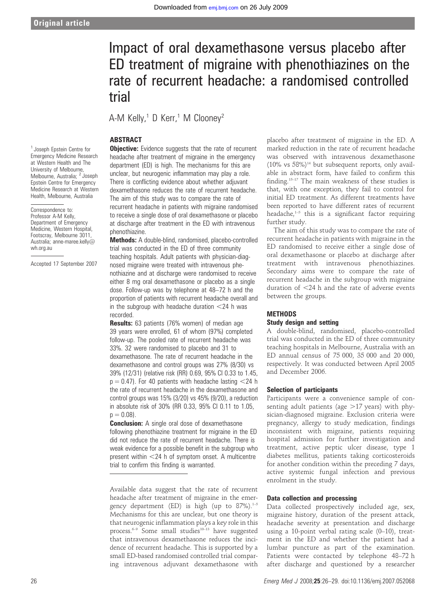# Impact of oral dexamethasone versus placebo after ED treatment of migraine with phenothiazines on the rate of recurrent headache: a randomised controlled trial

A-M Kelly,<sup>1</sup> D Kerr,<sup>1</sup> M Clooney<sup>2</sup>

#### ABSTRACT

<sup>1</sup> Joseph Epstein Centre for Emergency Medicine Research at Western Health and The University of Melbourne, Melbourne, Australia; <sup>2</sup> Joseph Epstein Centre for Emergency Medicine Research at Western Health, Melbourne, Australia

Correspondence to: Professor A-M Kelly, Department of Emergency Medicine, Western Hospital, Footscray, Melbourne 3011, Australia; anne-maree.kelly@ wh.org.au

Accepted 17 September 2007

**Objective:** Evidence suggests that the rate of recurrent headache after treatment of migraine in the emergency department (ED) is high. The mechanisms for this are unclear, but neurogenic inflammation may play a role. There is conflicting evidence about whether adjuvant dexamethasone reduces the rate of recurrent headache. The aim of this study was to compare the rate of recurrent headache in patients with migraine randomised to receive a single dose of oral dexamethasone or placebo at discharge after treatment in the ED with intravenous phenothiazine.

Methods: A double-blind, randomised, placebo-controlled trial was conducted in the ED of three community teaching hospitals. Adult patients with physician-diagnosed migraine were treated with intravenous phenothiazine and at discharge were randomised to receive either 8 mg oral dexamethasone or placebo as a single dose. Follow-up was by telephone at 48–72 h and the proportion of patients with recurrent headache overall and in the subgroup with headache duration  $<$  24 h was recorded.

Results: 63 patients (76% women) of median age 39 years were enrolled, 61 of whom (97%) completed follow-up. The pooled rate of recurrent headache was 33%. 32 were randomised to placebo and 31 to dexamethasone. The rate of recurrent headache in the dexamethasone and control groups was 27% (8/30) vs 39% (12/31) (relative risk (RR) 0.69, 95% CI 0.33 to 1.45,  $p = 0.47$ ). For 40 patients with headache lasting  $\langle 24 \rangle$ h the rate of recurrent headache in the dexamethasone and control groups was 15% (3/20) vs 45% (9/20), a reduction in absolute risk of 30% (RR 0.33, 95% CI 0.11 to 1.05,  $p = 0.08$ ).

**Conclusion:** A single oral dose of dexamethasone following phenothiazine treatment for migraine in the ED did not reduce the rate of recurrent headache. There is weak evidence for a possible benefit in the subgroup who present within  $<$ 24 h of symptom onset. A multicentre trial to confirm this finding is warranted.

Available data suggest that the rate of recurrent headache after treatment of migraine in the emergency department (ED) is high (up to  $87\%$ ).<sup>1-5</sup> Mechanisms for this are unclear, but one theory is that neurogenic inflammation plays a key role in this process.<sup>6–9</sup> Some small studies<sup>10–13</sup> have suggested that intravenous dexamethasone reduces the incidence of recurrent headache. This is supported by a small ED-based randomised controlled trial comparing intravenous adjuvant dexamethasone with

placebo after treatment of migraine in the ED. A marked reduction in the rate of recurrent headache was observed with intravenous dexamethasone  $(10\% \text{ vs } 58\%)$ <sup>14</sup> but subsequent reports, only available in abstract form, have failed to confirm this finding.<sup>15-17</sup> The main weakness of these studies is that, with one exception, they fail to control for initial ED treatment. As different treatments have been reported to have different rates of recurrent headache, $1-5$  this is a significant factor requiring further study.

The aim of this study was to compare the rate of recurrent headache in patients with migraine in the ED randomised to receive either a single dose of oral dexamethasone or placebo at discharge after treatment with intravenous phenothiazines. Secondary aims were to compare the rate of recurrent headache in the subgroup with migraine duration of  $<$ 24 h and the rate of adverse events between the groups.

### **METHODS** Study design and setting

A double-blind, randomised, placebo-controlled trial was conducted in the ED of three community teaching hospitals in Melbourne, Australia with an ED annual census of 75 000, 35 000 and 20 000, respectively. It was conducted between April 2005 and December 2006.

#### Selection of participants

Participants were a convenience sample of consenting adult patients (age  $>17$  years) with physician-diagnosed migraine. Exclusion criteria were pregnancy, allergy to study medication, findings inconsistent with migraine, patients requiring hospital admission for further investigation and treatment, active peptic ulcer disease, type 1 diabetes mellitus, patients taking corticosteroids for another condition within the preceding 7 days, active systemic fungal infection and previous enrolment in the study.

#### Data collection and processing

Data collected prospectively included age, sex, migraine history, duration of the present attack, headache severity at presentation and discharge using a 10-point verbal rating scale (0–10), treatment in the ED and whether the patient had a lumbar puncture as part of the examination. Patients were contacted by telephone 48–72 h after discharge and questioned by a researcher

26 Emerg Med J 2008;25:26–29. doi:10.1136/emj.2007.052068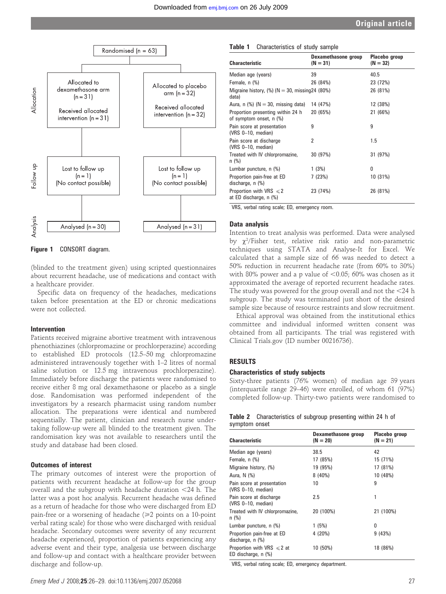

Figure 1 CONSORT diagram.

(blinded to the treatment given) using scripted questionnaires about recurrent headache, use of medications and contact with a healthcare provider.

Specific data on frequency of the headaches, medications taken before presentation at the ED or chronic medications were not collected.

#### Intervention

Patients received migraine abortive treatment with intravenous phenothiazines (chlorpromazine or prochlorperazine) according to established ED protocols (12.5–50 mg chlorpromazine administered intravenously together with 1–2 litres of normal saline solution or 12.5 mg intravenous prochlorperazine). Immediately before discharge the patients were randomised to receive either 8 mg oral dexamethasone or placebo as a single dose. Randomisation was performed independent of the investigators by a research pharmacist using random number allocation. The preparations were identical and numbered sequentially. The patient, clinician and research nurse undertaking follow-up were all blinded to the treatment given. The randomisation key was not available to researchers until the study and database had been closed.

#### Outcomes of interest

The primary outcomes of interest were the proportion of patients with recurrent headache at follow-up for the group overall and the subgroup with headache duration  $<$ 24 h. The latter was a post hoc analysis. Recurrent headache was defined as a return of headache for those who were discharged from ED pain-free or a worsening of headache  $(\geq 2$  points on a 10-point verbal rating scale) for those who were discharged with residual headache. Secondary outcomes were severity of any recurrent headache experienced, proportion of patients experiencing any adverse event and their type, analgesia use between discharge and follow-up and contact with a healthcare provider between discharge and follow-up.

#### Table 1 Characteristics of study sample

| <b>Characteristic</b>                                        | Dexamethasone group<br>$(N = 31)$ | Placebo group<br>$(N = 32)$ |
|--------------------------------------------------------------|-----------------------------------|-----------------------------|
| Median age (years)                                           | 39                                | 40.5                        |
| Female, n (%)                                                | 26 (84%)                          | 23 (72%)                    |
| Migraine history, $(\%)$ (N = 30, missing 24 (80%)<br>data)  |                                   | 26 (81%)                    |
| Aura, n $(\%)$ (N = 30, missing data)                        | 14 (47%)                          | 12 (38%)                    |
| Proportion presenting within 24 h<br>of symptom onset, n (%) | 20 (65%)                          | 21 (66%)                    |
| Pain score at presentation<br>(VRS $0-10$ , median)          | 9                                 | 9                           |
| Pain score at discharge<br>(VRS $0-10$ , median)             | 2                                 | 1.5                         |
| Treated with IV chlorpromazine,<br>n (%)                     | 30 (97%)                          | 31 (97%)                    |
| Lumbar puncture, n (%)                                       | 1(3%)                             | U                           |
| Proportion pain-free at ED<br>discharge, $n$ $%$             | 7 (23%)                           | 10 (31%)                    |
| Proportion with VRS $\leq 2$<br>at ED discharge, n (%)       | 23 (74%)                          | 26 (81%)                    |

VRS, verbal rating scale; ED, emergency room.

#### Data analysis

Intention to treat analysis was performed. Data were analysed by  $\chi^2$ /Fisher test, relative risk ratio and non-parametric techniques using STATA and Analyse-It for Excel. We calculated that a sample size of 66 was needed to detect a 50% reduction in recurrent headache rate (from 60% to 30%) with 80% power and a p value of  $<$  0.05; 60% was chosen as it approximated the average of reported recurrent headache rates. The study was powered for the group overall and not the  $<$ 24 h subgroup. The study was terminated just short of the desired sample size because of resource restraints and slow recruitment.

Ethical approval was obtained from the institutional ethics committee and individual informed written consent was obtained from all participants. The trial was registered with Clinical Trials.gov (ID number 00216736).

#### RESULTS

#### Characteristics of study subjects

Sixty-three patients (76% women) of median age 39 years (interquartile range 29–46) were enrolled, of whom 61 (97%) completed follow-up. Thirty-two patients were randomised to

#### Table 2 Characteristics of subgroup presenting within 24 h of symptom onset

| <b>Characteristic</b>                                  | Dexamethasone group<br>$(N = 20)$ | Placebo group<br>$(N = 21)$ |
|--------------------------------------------------------|-----------------------------------|-----------------------------|
| Median age (years)                                     | 38.5                              | 42                          |
| Female, n (%)                                          | 17 (85%)                          | 15 (71%)                    |
| Migraine history, (%)                                  | 19 (95%)                          | 17 (81%)                    |
| Aura, N (%)                                            | $8(40\%)$                         | 10 (48%)                    |
| Pain score at presentation<br>(VRS 0-10, median)       | 10                                | 9                           |
| Pain score at discharge<br>(VRS $0-10$ , median)       | 2.5                               | 1                           |
| Treated with IV chlorpromazine,<br>n (%)               | 20 (100%)                         | 21 (100%)                   |
| Lumbar puncture, n (%)                                 | 1(5%)                             | 0                           |
| Proportion pain-free at ED<br>discharge, n (%)         | 4 (20%)                           | 9(43%)                      |
| Proportion with VRS $\leq 2$ at<br>ED discharge, n (%) | 10 (50%)                          | 18 (86%)                    |

VRS, verbal rating scale; ED, emergency department.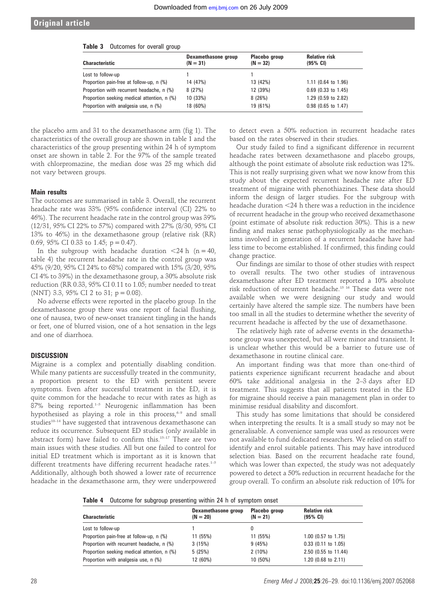#### Original article

#### Table 3 Outcomes for overall group

| <b>Characteristic</b>                       | Dexamethasone group<br>$(N = 31)$ | Placebo group<br>$(N = 32)$ | <b>Relative risk</b><br>(95% CI) |
|---------------------------------------------|-----------------------------------|-----------------------------|----------------------------------|
| Lost to follow-up                           |                                   |                             |                                  |
| Proportion pain-free at follow-up, n (%)    | 14 (47%)                          | 13 (42%)                    | $1.11$ (0.64 to 1.96)            |
| Proportion with recurrent headache, n (%)   | 8(27%)                            | 12 (39%)                    | $0.69$ (0.33 to 1.45)            |
| Proportion seeking medical attention, n (%) | 10 (33%)                          | 8(26%)                      | 1.29 (0.59 to 2.82)              |
| Proportion with analgesia use, n (%)        | 18 (60%)                          | 19 (61%)                    | $0.98$ (0.65 to 1.47)            |

the placebo arm and 31 to the dexamethasone arm (fig 1). The characteristics of the overall group are shown in table 1 and the characteristics of the group presenting within 24 h of symptom onset are shown in table 2. For the 97% of the sample treated with chlorpromazine, the median dose was 25 mg which did not vary between groups.

#### Main results

The outcomes are summarised in table 3. Overall, the recurrent headache rate was 33% (95% confidence interval (CI) 22% to 46%). The recurrent headache rate in the control group was 39% (12/31, 95% CI 22% to 57%) compared with 27% (8/30, 95% CI 13% to 46%) in the dexamethasone group (relative risk (RR) 0.69, 95% CI 0.33 to 1.45;  $p = 0.47$ ).

In the subgroup with headache duration  $\langle 24 \text{ h } (n = 40,$ table 4) the recurrent headache rate in the control group was 45% (9/20, 95% CI 24% to 68%) compared with 15% (3/20, 95% CI 4% to 39%) in the dexamethasone group, a 30% absolute risk reduction (RR 0.33, 95% CI 0.11 to 1.05; number needed to treat (NNT) 3.3, 95% CI 2 to 31;  $p = 0.08$ ).

No adverse effects were reported in the placebo group. In the dexamethasone group there was one report of facial flushing, one of nausea, two of new-onset transient tingling in the hands or feet, one of blurred vision, one of a hot sensation in the legs and one of diarrhoea.

#### **DISCUSSION**

Migraine is a complex and potentially disabling condition. While many patients are successfully treated in the community, a proportion present to the ED with persistent severe symptoms. Even after successful treatment in the ED, it is quite common for the headache to recur with rates as high as 87% being reported.<sup>1-5</sup> Neurogenic inflammation has been hypothesised as playing a role in this process, $6-9$  and small studies<sup>10-14</sup> have suggested that intravenous dexamethasone can reduce its occurrence. Subsequent ED studies (only available in abstract form) have failed to confirm this.15–17 There are two main issues with these studies. All but one failed to control for initial ED treatment which is important as it is known that different treatments have differing recurrent headache rates.<sup>1-5</sup> Additionally, although both showed a lower rate of recurrence headache in the dexamethasone arm, they were underpowered

to detect even a 50% reduction in recurrent headache rates based on the rates observed in their studies.

Our study failed to find a significant difference in recurrent headache rates between dexamethasone and placebo groups, although the point estimate of absolute risk reduction was 12%. This is not really surprising given what we now know from this study about the expected recurrent headache rate after ED treatment of migraine with phenothiazines. These data should inform the design of larger studies. For the subgroup with headache duration <24 h there was a reduction in the incidence of recurrent headache in the group who received dexamethasone (point estimate of absolute risk reduction 30%). This is a new finding and makes sense pathophysiologically as the mechanisms involved in generation of a recurrent headache have had less time to become established. If confirmed, this finding could change practice.

Our findings are similar to those of other studies with respect to overall results. The two other studies of intravenous dexamethasone after ED treatment reported a 10% absolute risk reduction of recurrent headache.15 16 These data were not available when we were designing our study and would certainly have altered the sample size. The numbers have been too small in all the studies to determine whether the severity of recurrent headache is affected by the use of dexamethasone.

The relatively high rate of adverse events in the dexamethasone group was unexpected, but all were minor and transient. It is unclear whether this would be a barrier to future use of dexamethasone in routine clinical care.

An important finding was that more than one-third of patients experience significant recurrent headache and about 60% take additional analgesia in the 2–3 days after ED treatment. This suggests that all patients treated in the ED for migraine should receive a pain management plan in order to minimise residual disability and discomfort.

This study has some limitations that should be considered when interpreting the results. It is a small study so may not be generalisable. A convenience sample was used as resources were not available to fund dedicated researchers. We relied on staff to identify and enrol suitable patients. This may have introduced selection bias. Based on the recurrent headache rate found, which was lower than expected, the study was not adequately powered to detect a 50% reduction in recurrent headache for the group overall. To confirm an absolute risk reduction of 10% for

Table 4 Outcome for subgroup presenting within 24 h of symptom onset

| Dexamethasone group<br>$(N = 20)$ | Placebo group<br>$(N = 21)$ | <b>Relative risk</b><br>$(95% \; \text{CI})$ |  |  |  |  |
|-----------------------------------|-----------------------------|----------------------------------------------|--|--|--|--|
|                                   |                             |                                              |  |  |  |  |
| 11 (55%)                          | 11 (55%)                    | 1.00 (0.57 to 1.75)                          |  |  |  |  |
| 3(15%)                            | 9(45%)                      | $0.33$ (0.11 to 1.05)                        |  |  |  |  |
| 5(25%)                            | $2(10\%)$                   | 2.50 (0.55 to 11.44)                         |  |  |  |  |
| 12 (60%)                          | 10 (50%)                    | 1.20 $(0.68 \text{ to } 2.11)$               |  |  |  |  |
|                                   |                             |                                              |  |  |  |  |